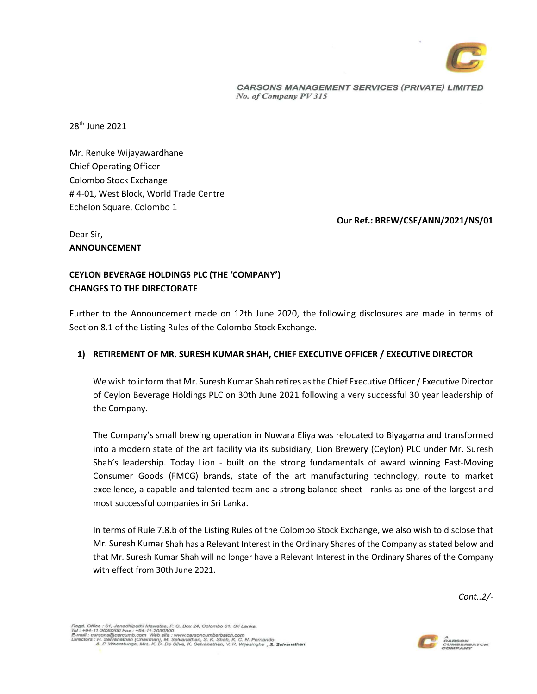

**CARSONS MANAGEMENT SERVICES (PRIVATE) LIMITED** No. of Company PV 315

28th June 2021

Mr. Renuke Wijayawardhane Chief Operating Officer Colombo Stock Exchange # 4-01, West Block, World Trade Centre Echelon Square, Colombo 1

**Our Ref.: BREW/CSE/ANN/2021/NS/01**

Dear Sir, **ANNOUNCEMENT** 

## **CEYLON BEVERAGE HOLDINGS PLC (THE 'COMPANY') CHANGES TO THE DIRECTORATE**

Further to the Announcement made on 12th June 2020, the following disclosures are made in terms of Section 8.1 of the Listing Rules of the Colombo Stock Exchange.

## **1) RETIREMENT OF MR. SURESH KUMAR SHAH, CHIEF EXECUTIVE OFFICER / EXECUTIVE DIRECTOR**

We wish to inform that Mr. Suresh Kumar Shah retires as the Chief Executive Officer / Executive Director of Ceylon Beverage Holdings PLC on 30th June 2021 following a very successful 30 year leadership of the Company.

The Company's small brewing operation in Nuwara Eliya was relocated to Biyagama and transformed into a modern state of the art facility via its subsidiary, Lion Brewery (Ceylon) PLC under Mr. Suresh Shah's leadership. Today Lion - built on the strong fundamentals of award winning Fast-Moving Consumer Goods (FMCG) brands, state of the art manufacturing technology, route to market excellence, a capable and talented team and a strong balance sheet - ranks as one of the largest and most successful companies in Sri Lanka.

In terms of Rule 7.8.b of the Listing Rules of the Colombo Stock Exchange, we also wish to disclose that Mr. Suresh Kumar Shah has a Relevant Interest in the Ordinary Shares of the Company as stated below and that Mr. Suresh Kumar Shah will no longer have a Relevant Interest in the Ordinary Shares of the Company with effect from 30th June 2021.

*Cont..2/-*